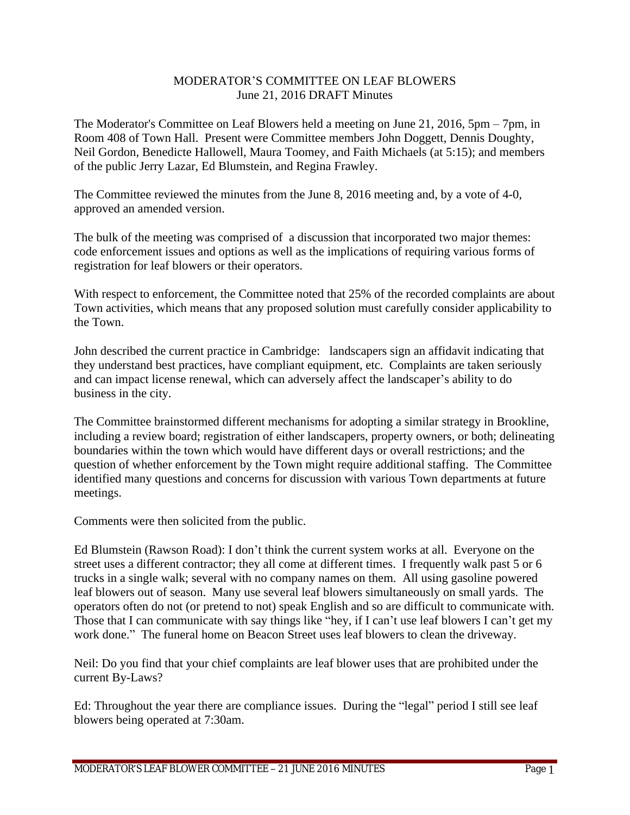## MODERATOR'S COMMITTEE ON LEAF BLOWERS June 21, 2016 DRAFT Minutes

The Moderator's Committee on Leaf Blowers held a meeting on June 21, 2016, 5pm – 7pm, in Room 408 of Town Hall. Present were Committee members John Doggett, Dennis Doughty, Neil Gordon, Benedicte Hallowell, Maura Toomey, and Faith Michaels (at 5:15); and members of the public Jerry Lazar, Ed Blumstein, and Regina Frawley.

The Committee reviewed the minutes from the June 8, 2016 meeting and, by a vote of 4-0, approved an amended version.

The bulk of the meeting was comprised of a discussion that incorporated two major themes: code enforcement issues and options as well as the implications of requiring various forms of registration for leaf blowers or their operators.

With respect to enforcement, the Committee noted that 25% of the recorded complaints are about Town activities, which means that any proposed solution must carefully consider applicability to the Town.

John described the current practice in Cambridge: landscapers sign an affidavit indicating that they understand best practices, have compliant equipment, etc. Complaints are taken seriously and can impact license renewal, which can adversely affect the landscaper's ability to do business in the city.

The Committee brainstormed different mechanisms for adopting a similar strategy in Brookline, including a review board; registration of either landscapers, property owners, or both; delineating boundaries within the town which would have different days or overall restrictions; and the question of whether enforcement by the Town might require additional staffing. The Committee identified many questions and concerns for discussion with various Town departments at future meetings.

Comments were then solicited from the public.

Ed Blumstein (Rawson Road): I don't think the current system works at all. Everyone on the street uses a different contractor; they all come at different times. I frequently walk past 5 or 6 trucks in a single walk; several with no company names on them. All using gasoline powered leaf blowers out of season. Many use several leaf blowers simultaneously on small yards. The operators often do not (or pretend to not) speak English and so are difficult to communicate with. Those that I can communicate with say things like "hey, if I can't use leaf blowers I can't get my work done." The funeral home on Beacon Street uses leaf blowers to clean the driveway.

Neil: Do you find that your chief complaints are leaf blower uses that are prohibited under the current By-Laws?

Ed: Throughout the year there are compliance issues. During the "legal" period I still see leaf blowers being operated at 7:30am.